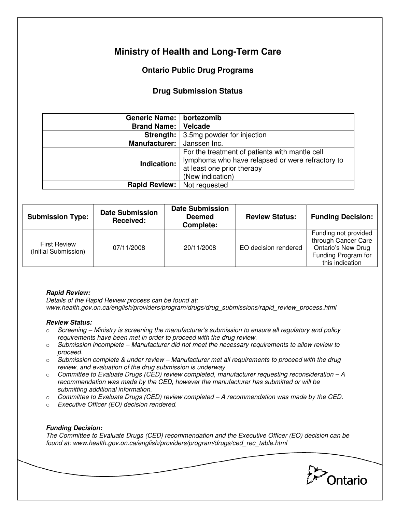# **Ministry of Health and Long-Term Care**

## **Ontario Public Drug Programs**

### **Drug Submission Status**

| Generic Name:   bortezomib         |                                                                                                                                                      |  |  |
|------------------------------------|------------------------------------------------------------------------------------------------------------------------------------------------------|--|--|
| <b>Brand Name:</b>                 | Velcade                                                                                                                                              |  |  |
| Strength:                          | 3.5mg powder for injection                                                                                                                           |  |  |
| <b>Manufacturer:</b>               | Janssen Inc.                                                                                                                                         |  |  |
| Indication:                        | For the treatment of patients with mantle cell<br>lymphoma who have relapsed or were refractory to<br>at least one prior therapy<br>(New indication) |  |  |
| <b>Rapid Review:</b> Not requested |                                                                                                                                                      |  |  |

| <b>Submission Type:</b>                     | <b>Date Submission</b><br>Received: | <b>Date Submission</b><br><b>Deemed</b><br>Complete: | <b>Review Status:</b> | <b>Funding Decision:</b>                                                                                           |
|---------------------------------------------|-------------------------------------|------------------------------------------------------|-----------------------|--------------------------------------------------------------------------------------------------------------------|
| <b>First Review</b><br>(Initial Submission) | 07/11/2008                          | 20/11/2008                                           | EO decision rendered  | Funding not provided<br>through Cancer Care<br><b>Ontario's New Drug</b><br>Funding Program for<br>this indication |

### **Rapid Review:**

Details of the Rapid Review process can be found at: www.health.gov.on.ca/english/providers/program/drugs/drug\_submissions/rapid\_review\_process.html

#### **Review Status:**

- $\circ$  Screening Ministry is screening the manufacturer's submission to ensure all regulatory and policy requirements have been met in order to proceed with the drug review.
- $\circ$  Submission incomplete Manufacturer did not meet the necessary requirements to allow review to proceed.
- $\circ$  Submission complete & under review Manufacturer met all requirements to proceed with the drug review, and evaluation of the drug submission is underway.
- $\circ$  Committee to Evaluate Drugs (CED) review completed, manufacturer requesting reconsideration A recommendation was made by the CED, however the manufacturer has submitted or will be submitting additional information.
- $\circ$  Committee to Evaluate Drugs (CED) review completed  $-A$  recommendation was made by the CED.
- o Executive Officer (EO) decision rendered.

### **Funding Decision:**

The Committee to Evaluate Drugs (CED) recommendation and the Executive Officer (EO) decision can be found at: www.health.gov.on.ca/english/providers/program/drugs/ced\_rec\_table.html